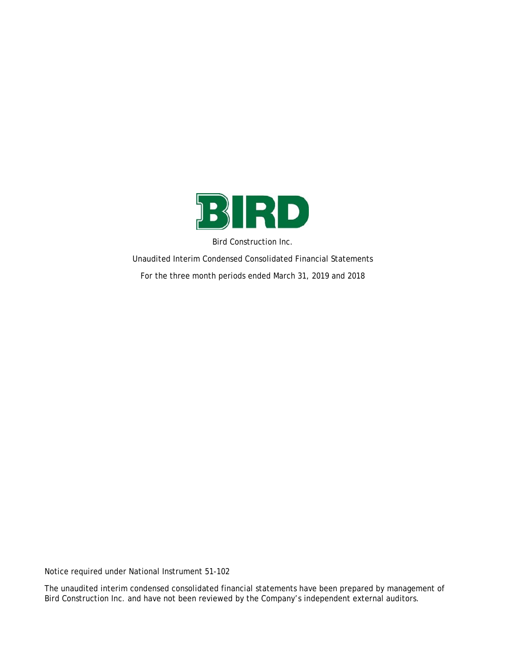

Bird Construction Inc.

Unaudited Interim Condensed Consolidated Financial Statements For the three month periods ended March 31, 2019 and 2018

Notice required under National Instrument 51-102

The unaudited interim condensed consolidated financial statements have been prepared by management of Bird Construction Inc. and have not been reviewed by the Company's independent external auditors.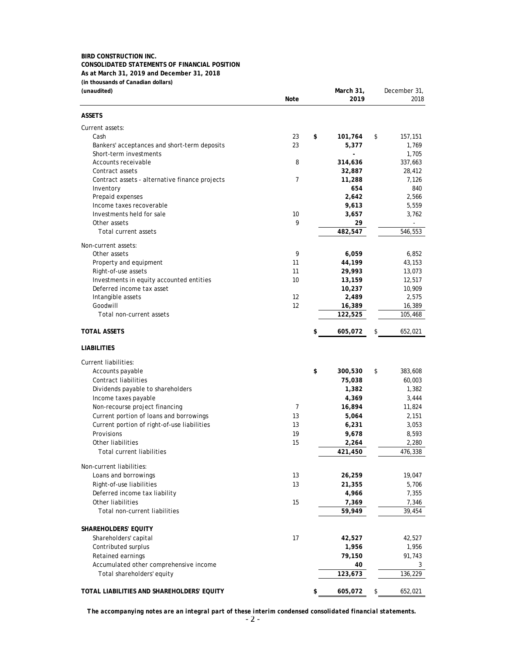### **BIRD CONSTRUCTION INC. CONSOLIDATED STATEMENTS OF FINANCIAL POSITION As at March 31, 2019 and December 31, 2018 (in thousands of Canadian dollars)**

| (unaudited)                                        |                | March 31,       | December 31,    |
|----------------------------------------------------|----------------|-----------------|-----------------|
|                                                    | Note           | 2019            | 2018            |
| ASSETS                                             |                |                 |                 |
| Current assets:                                    |                |                 |                 |
| Cash                                               | 23             | \$<br>101,764   | \$<br>157,151   |
| Bankers' acceptances and short-term deposits       | 23             | 5,377           | 1,769           |
| Short-term investments                             |                |                 | 1,705           |
| Accounts receivable                                | 8              | 314,636         | 337,663         |
| Contract assets                                    |                | 32,887          | 28,412          |
| Contract assets - alternative finance projects     | $\overline{7}$ | 11,288          | 7,126           |
| Inventory<br>Prepaid expenses                      |                | 654<br>2,642    | 840<br>2,566    |
| Income taxes recoverable                           |                | 9,613           | 5,559           |
| Investments held for sale                          | 10             | 3,657           | 3,762           |
| Other assets                                       | 9              | 29              |                 |
| Total current assets                               |                | 482,547         | 546,553         |
| Non-current assets:                                |                |                 |                 |
| Other assets                                       | 9              | 6,059           | 6,852           |
| Property and equipment                             | 11             | 44,199          | 43,153          |
| Right-of-use assets                                | 11             | 29,993          | 13,073          |
| Investments in equity accounted entities           | 10             | 13,159          | 12,517          |
| Deferred income tax asset                          |                | 10,237          | 10,909          |
| Intangible assets                                  | 12             | 2,489           | 2,575           |
| Goodwill                                           | 12             | 16,389          | 16,389          |
| Total non-current assets                           |                | 122,525         | 105,468         |
| <b>TOTAL ASSETS</b>                                |                | \$<br>605,072   | \$<br>652,021   |
| <b>LIABILITIES</b>                                 |                |                 |                 |
| Current liabilities:                               |                |                 |                 |
| Accounts payable                                   |                | \$<br>300,530   | \$<br>383,608   |
| <b>Contract liabilities</b>                        |                | 75,038          | 60,003          |
| Dividends payable to shareholders                  |                | 1,382           | 1,382           |
| Income taxes payable                               |                | 4,369           | 3,444           |
| Non-recourse project financing                     | 7              | 16,894          | 11,824          |
| Current portion of loans and borrowings            | 13             | 5,064           | 2,151           |
| Current portion of right-of-use liabilities        | 13             | 6,231           | 3,053           |
| Provisions                                         | 19             | 9,678           | 8,593           |
| Other liabilities                                  | 15             | 2,264           | 2,280           |
| <b>Total current liabilities</b>                   |                | 421,450         | 476,338         |
| Non-current liabilities:                           |                |                 |                 |
| Loans and borrowings                               | 13             | 26,259          | 19,047          |
| Right-of-use liabilities                           | 13             | 21,355          | 5,706           |
| Deferred income tax liability                      |                | 4,966           | 7,355           |
| Other liabilities<br>Total non-current liabilities | 15             | 7,369<br>59,949 | 7,346<br>39,454 |
|                                                    |                |                 |                 |
| SHAREHOLDERS' EQUITY                               |                |                 |                 |
| Shareholders' capital                              | 17             | 42,527          | 42,527          |
| Contributed surplus                                |                | 1,956           | 1,956           |
| Retained earnings                                  |                | 79,150          | 91,743          |
| Accumulated other comprehensive income             |                | 40              | 3               |
| Total shareholders' equity                         |                | 123,673         | 136,229         |
| TOTAL LIABILITIES AND SHAREHOLDERS' EQUITY         |                | \$<br>605,072   | \$<br>652,021   |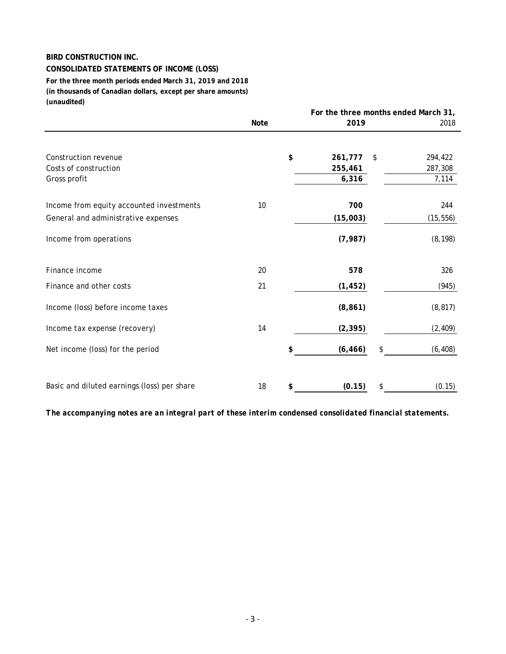**CONSOLIDATED STATEMENTS OF INCOME (LOSS)**

**(in thousands of Canadian dollars, except per share amounts) (unaudited) For the three month periods ended March 31, 2019 and 2018**

|             |    | For the three months ended March 31, |    |           |  |  |  |
|-------------|----|--------------------------------------|----|-----------|--|--|--|
| <b>Note</b> |    | 2019                                 |    | 2018      |  |  |  |
|             |    |                                      |    |           |  |  |  |
|             | \$ | 261,777                              | \$ | 294,422   |  |  |  |
|             |    | 255,461                              |    | 287,308   |  |  |  |
|             |    | 6,316                                |    | 7,114     |  |  |  |
| 10          |    | 700                                  |    | 244       |  |  |  |
|             |    | (15,003)                             |    | (15, 556) |  |  |  |
|             |    | (7, 987)                             |    | (8, 198)  |  |  |  |
| 20          |    | 578                                  |    | 326       |  |  |  |
| 21          |    | (1, 452)                             |    | (945)     |  |  |  |
|             |    | (8, 861)                             |    | (8, 817)  |  |  |  |
| 14          |    | (2, 395)                             |    | (2, 409)  |  |  |  |
|             | \$ | (6, 466)                             | \$ | (6, 408)  |  |  |  |
| 18          | \$ | (0.15)                               | \$ | (0.15)    |  |  |  |
|             |    |                                      |    |           |  |  |  |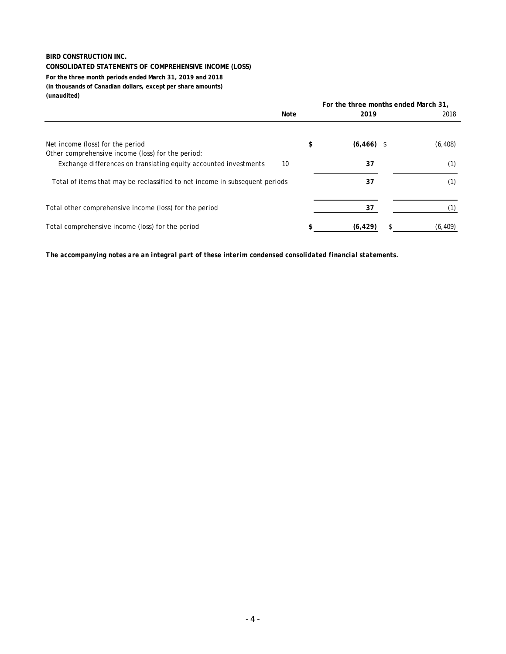**CONSOLIDATED STATEMENTS OF COMPREHENSIVE INCOME (LOSS)**

**(in thousands of Canadian dollars, except per share amounts) (unaudited) For the three month periods ended March 31, 2019 and 2018**

|                                                                             |      | For the three months ended March 31, |  |          |
|-----------------------------------------------------------------------------|------|--------------------------------------|--|----------|
|                                                                             | Note | 2019                                 |  | 2018     |
|                                                                             |      |                                      |  |          |
| Net income (loss) for the period                                            |      | \$<br>$(6,466)$ \$                   |  | (6, 408) |
| Other comprehensive income (loss) for the period:                           |      |                                      |  |          |
| Exchange differences on translating equity accounted investments            | 10   | 37                                   |  |          |
| Total of items that may be reclassified to net income in subsequent periods |      | 37                                   |  | (1)      |
| Total other comprehensive income (loss) for the period                      |      | 37                                   |  |          |
| Total comprehensive income (loss) for the period                            |      | (6, 429)                             |  | (6, 409) |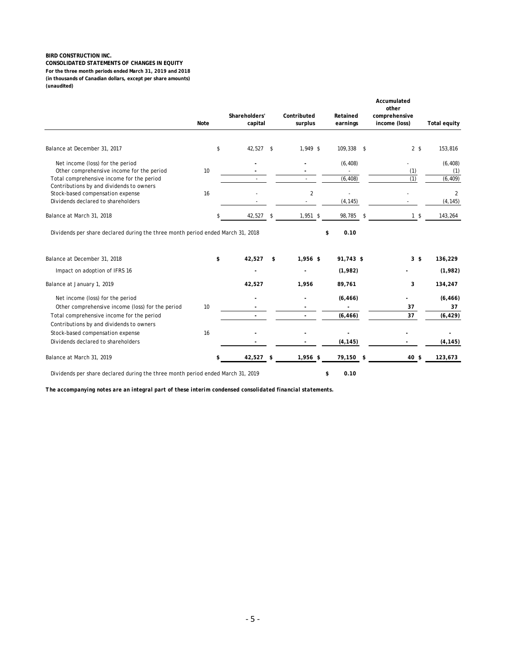**CONSOLIDATED STATEMENTS OF CHANGES IN EQUITY (in thousands of Canadian dollars, except per share amounts) (unaudited) For the three month periods ended March 31, 2019 and 2018**

|                                                                                 | Note | Shareholders'<br>capital |     | Contributed<br>surplus | Retained<br>earnings | Accumulated<br>other<br>comprehensive<br>income (loss) | <b>Total equity</b> |
|---------------------------------------------------------------------------------|------|--------------------------|-----|------------------------|----------------------|--------------------------------------------------------|---------------------|
|                                                                                 |      |                          |     |                        |                      |                                                        |                     |
| Balance at December 31, 2017                                                    | \$   | $42,527$ \$              |     | 1,949 \$               | 109,338 \$           | 2 <sup>5</sup>                                         | 153,816             |
| Net income (loss) for the period                                                |      |                          |     |                        | (6, 408)             |                                                        | (6, 408)            |
| Other comprehensive income for the period                                       | 10   |                          |     |                        |                      | (1)                                                    | (1)                 |
| Total comprehensive income for the period                                       |      |                          |     |                        | (6, 408)             | (1)                                                    | (6, 409)            |
| Contributions by and dividends to owners<br>Stock-based compensation expense    | 16   |                          |     | $\overline{2}$         | ÷,                   |                                                        | $\overline{2}$      |
| Dividends declared to shareholders                                              |      |                          |     |                        | (4, 145)             |                                                        | (4, 145)            |
|                                                                                 |      |                          |     |                        |                      |                                                        |                     |
| Balance at March 31, 2018                                                       |      | 42,527                   | -\$ | $1,951$ \$             | 98,785 \$            | 1 <sup>5</sup>                                         | 143,264             |
| Balance at December 31, 2018                                                    | \$   | 42,527                   | \$  | 1,956 \$               | 91,743 \$            | 3 <sup>5</sup>                                         | 136,229             |
| Impact on adoption of IFRS 16                                                   |      |                          |     |                        | (1,982)              |                                                        | (1,982)             |
| Balance at January 1, 2019                                                      |      | 42,527                   |     | 1,956                  | 89,761               | 3                                                      | 134,247             |
| Net income (loss) for the period                                                |      |                          |     |                        | (6, 466)             |                                                        | (6, 466)            |
| Other comprehensive income (loss) for the period                                | 10   |                          |     |                        | $\overline{a}$       | 37                                                     | 37                  |
| Total comprehensive income for the period                                       |      |                          |     |                        | (6, 466)             | 37                                                     | (6, 429)            |
| Contributions by and dividends to owners                                        |      |                          |     |                        |                      |                                                        |                     |
| Stock-based compensation expense                                                | 16   |                          |     |                        |                      |                                                        |                     |
| Dividends declared to shareholders                                              |      |                          |     |                        | (4, 145)             |                                                        | (4, 145)            |
| Balance at March 31, 2019                                                       |      | 42,527                   | \$  | 1,956 \$               | 79,150 \$            | 40 \$                                                  | 123,673             |
| Dividends per share declared during the three month period ended March 31, 2019 |      |                          |     |                        | 0.10<br>\$           |                                                        |                     |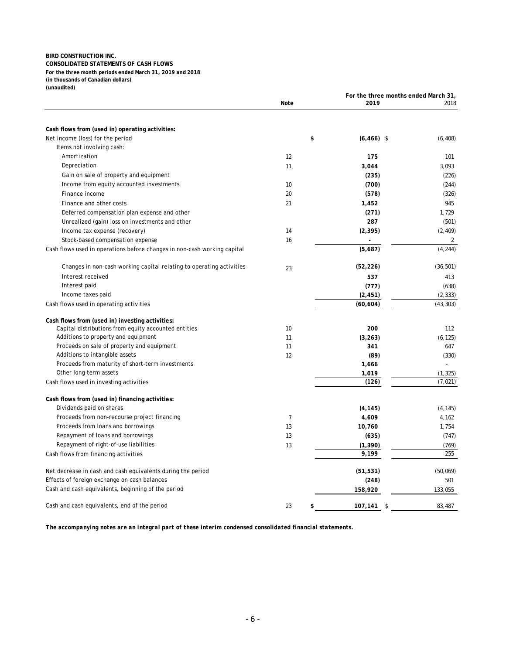**CONSOLIDATED STATEMENTS OF CASH FLOWS**

#### **For the three month periods ended March 31, 2019 and 2018**

**(in thousands of Canadian dollars)**

**(unaudited)**

|                                                                          |                |               | For the three months ended March 31, |           |
|--------------------------------------------------------------------------|----------------|---------------|--------------------------------------|-----------|
|                                                                          | <b>Note</b>    | 2019          |                                      | 2018      |
|                                                                          |                |               |                                      |           |
| Cash flows from (used in) operating activities:                          |                |               |                                      |           |
| Net income (loss) for the period                                         | \$             | $(6, 466)$ \$ |                                      | (6, 408)  |
| Items not involving cash:                                                |                |               |                                      |           |
| Amortization                                                             | 12             | 175           |                                      | 101       |
| Depreciation                                                             | 11             | 3,044         |                                      | 3,093     |
| Gain on sale of property and equipment                                   |                | (235)         |                                      | (226)     |
| Income from equity accounted investments                                 | 10             | (700)         |                                      | (244)     |
| Finance income                                                           | 20             | (578)         |                                      | (326)     |
| Finance and other costs                                                  | 21             | 1,452         |                                      | 945       |
| Deferred compensation plan expense and other                             |                | (271)         |                                      | 1,729     |
| Unrealized (gain) loss on investments and other                          |                | 287           |                                      | (501)     |
| Income tax expense (recovery)                                            | 14             | (2, 395)      |                                      | (2, 409)  |
| Stock-based compensation expense                                         | 16             |               |                                      | 2         |
| Cash flows used in operations before changes in non-cash working capital |                | (5,687)       |                                      | (4, 244)  |
| Changes in non-cash working capital relating to operating activities     | 23             | (52, 226)     |                                      | (36, 501) |
| Interest received                                                        |                | 537           |                                      | 413       |
| Interest paid                                                            |                | (777)         |                                      | (638)     |
| Income taxes paid                                                        |                | (2, 451)      |                                      | (2, 333)  |
| Cash flows used in operating activities                                  |                | (60, 604)     |                                      | (43, 303) |
| Cash flows from (used in) investing activities:                          |                |               |                                      |           |
| Capital distributions from equity accounted entities                     | 10             | 200           |                                      | 112       |
| Additions to property and equipment                                      | 11             | (3, 263)      |                                      | (6, 125)  |
| Proceeds on sale of property and equipment                               | 11             | 341           |                                      | 647       |
| Additions to intangible assets                                           | 12             | (89)          |                                      | (330)     |
| Proceeds from maturity of short-term investments                         |                | 1,666         |                                      |           |
| Other long-term assets                                                   |                | 1,019         |                                      | (1, 325)  |
| Cash flows used in investing activities                                  |                | (126)         |                                      | (7,021)   |
| Cash flows from (used in) financing activities:                          |                |               |                                      |           |
| Dividends paid on shares                                                 |                | (4, 145)      |                                      | (4, 145)  |
| Proceeds from non-recourse project financing                             | $\overline{7}$ | 4,609         |                                      | 4,162     |
| Proceeds from loans and borrowings                                       | 13             | 10,760        |                                      | 1,754     |
| Repayment of loans and borrowings                                        | 13             | (635)         |                                      | (747)     |
| Repayment of right-of-use liabilities                                    | 13             | (1, 390)      |                                      | (769)     |
| Cash flows from financing activities                                     |                | 9.199         |                                      | 255       |
| Net decrease in cash and cash equivalents during the period              |                | (51, 531)     |                                      | (50,069)  |
| Effects of foreign exchange on cash balances                             |                | (248)         |                                      | 501       |
| Cash and cash equivalents, beginning of the period                       |                | 158,920       |                                      | 133,055   |
| Cash and cash equivalents, end of the period                             | 23<br>\$       | 107,141       | \$                                   | 83,487    |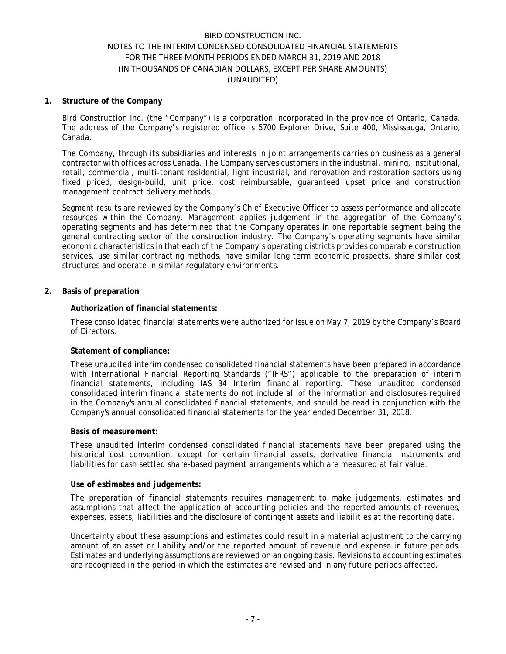#### **1. Structure of the Company**

Bird Construction Inc. (the "Company") is a corporation incorporated in the province of Ontario, Canada. The address of the Company's registered office is 5700 Explorer Drive, Suite 400, Mississauga, Ontario, Canada.

The Company, through its subsidiaries and interests in joint arrangements carries on business as a general contractor with offices across Canada. The Company serves customers in the industrial, mining, institutional, retail, commercial, multi-tenant residential, light industrial, and renovation and restoration sectors using fixed priced, design-build, unit price, cost reimbursable, guaranteed upset price and construction management contract delivery methods.

Segment results are reviewed by the Company's Chief Executive Officer to assess performance and allocate resources within the Company. Management applies judgement in the aggregation of the Company's operating segments and has determined that the Company operates in one reportable segment being the general contracting sector of the construction industry. The Company's operating segments have similar economic characteristics in that each of the Company's operating districts provides comparable construction services, use similar contracting methods, have similar long term economic prospects, share similar cost structures and operate in similar regulatory environments.

## **2. Basis of preparation**

### **Authorization of financial statements:**

These consolidated financial statements were authorized for issue on May 7, 2019 by the Company's Board of Directors.

#### **Statement of compliance:**

These unaudited interim condensed consolidated financial statements have been prepared in accordance with International Financial Reporting Standards ("IFRS") applicable to the preparation of interim financial statements, including IAS 34 Interim financial reporting. These unaudited condensed consolidated interim financial statements do not include all of the information and disclosures required in the Company's annual consolidated financial statements, and should be read in conjunction with the Company's annual consolidated financial statements for the year ended December 31, 2018.

#### **Basis of measurement:**

These unaudited interim condensed consolidated financial statements have been prepared using the historical cost convention, except for certain financial assets, derivative financial instruments and liabilities for cash settled share-based payment arrangements which are measured at fair value.

#### **Use of estimates and judgements:**

The preparation of financial statements requires management to make judgements, estimates and assumptions that affect the application of accounting policies and the reported amounts of revenues, expenses, assets, liabilities and the disclosure of contingent assets and liabilities at the reporting date.

Uncertainty about these assumptions and estimates could result in a material adjustment to the carrying amount of an asset or liability and/or the reported amount of revenue and expense in future periods. Estimates and underlying assumptions are reviewed on an ongoing basis. Revisions to accounting estimates are recognized in the period in which the estimates are revised and in any future periods affected.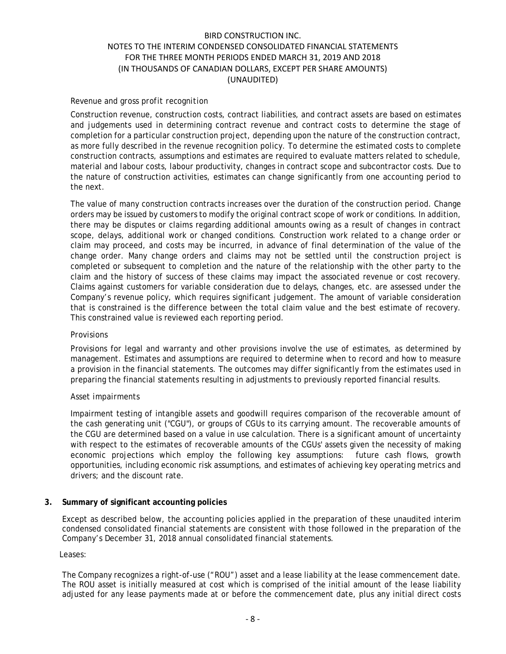### *Revenue and gross profit recognition*

Construction revenue, construction costs, contract liabilities, and contract assets are based on estimates and judgements used in determining contract revenue and contract costs to determine the stage of completion for a particular construction project, depending upon the nature of the construction contract, as more fully described in the revenue recognition policy. To determine the estimated costs to complete construction contracts, assumptions and estimates are required to evaluate matters related to schedule, material and labour costs, labour productivity, changes in contract scope and subcontractor costs. Due to the nature of construction activities, estimates can change significantly from one accounting period to the next.

The value of many construction contracts increases over the duration of the construction period. Change orders may be issued by customers to modify the original contract scope of work or conditions. In addition, there may be disputes or claims regarding additional amounts owing as a result of changes in contract scope, delays, additional work or changed conditions. Construction work related to a change order or claim may proceed, and costs may be incurred, in advance of final determination of the value of the change order. Many change orders and claims may not be settled until the construction project is completed or subsequent to completion and the nature of the relationship with the other party to the claim and the history of success of these claims may impact the associated revenue or cost recovery. Claims against customers for variable consideration due to delays, changes, etc. are assessed under the Company's revenue policy, which requires significant judgement. The amount of variable consideration that is constrained is the difference between the total claim value and the best estimate of recovery. This constrained value is reviewed each reporting period.

#### *Provisions*

Provisions for legal and warranty and other provisions involve the use of estimates, as determined by management. Estimates and assumptions are required to determine when to record and how to measure a provision in the financial statements. The outcomes may differ significantly from the estimates used in preparing the financial statements resulting in adjustments to previously reported financial results.

#### *Asset impairments*

Impairment testing of intangible assets and goodwill requires comparison of the recoverable amount of the cash generating unit ("CGU"), or groups of CGUs to its carrying amount. The recoverable amounts of the CGU are determined based on a value in use calculation. There is a significant amount of uncertainty with respect to the estimates of recoverable amounts of the CGUs' assets given the necessity of making economic projections which employ the following key assumptions: future cash flows, growth opportunities, including economic risk assumptions, and estimates of achieving key operating metrics and drivers; and the discount rate.

## **3. Summary of significant accounting policies**

Except as described below, the accounting policies applied in the preparation of these unaudited interim condensed consolidated financial statements are consistent with those followed in the preparation of the Company's December 31, 2018 annual consolidated financial statements.

Leases:

The Company recognizes a right-of-use ("ROU") asset and a lease liability at the lease commencement date. The ROU asset is initially measured at cost which is comprised of the initial amount of the lease liability adjusted for any lease payments made at or before the commencement date, plus any initial direct costs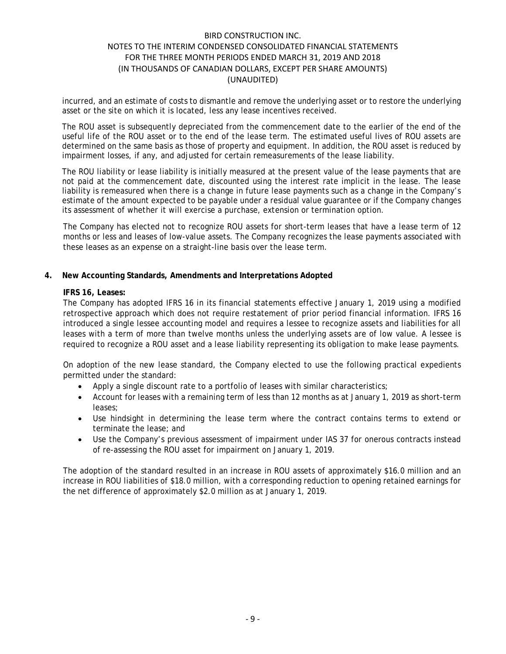incurred, and an estimate of costs to dismantle and remove the underlying asset or to restore the underlying asset or the site on which it is located, less any lease incentives received.

The ROU asset is subsequently depreciated from the commencement date to the earlier of the end of the useful life of the ROU asset or to the end of the lease term. The estimated useful lives of ROU assets are determined on the same basis as those of property and equipment. In addition, the ROU asset is reduced by impairment losses, if any, and adjusted for certain remeasurements of the lease liability.

The ROU liability or lease liability is initially measured at the present value of the lease payments that are not paid at the commencement date, discounted using the interest rate implicit in the lease. The lease liability is remeasured when there is a change in future lease payments such as a change in the Company's estimate of the amount expected to be payable under a residual value guarantee or if the Company changes its assessment of whether it will exercise a purchase, extension or termination option.

The Company has elected not to recognize ROU assets for short-term leases that have a lease term of 12 months or less and leases of low-value assets. The Company recognizes the lease payments associated with these leases as an expense on a straight-line basis over the lease term.

## **4. New Accounting Standards, Amendments and Interpretations Adopted**

### **IFRS 16, Leases:**

The Company has adopted IFRS 16 in its financial statements effective January 1, 2019 using a modified retrospective approach which does not require restatement of prior period financial information. IFRS 16 introduced a single lessee accounting model and requires a lessee to recognize assets and liabilities for all leases with a term of more than twelve months unless the underlying assets are of low value. A lessee is required to recognize a ROU asset and a lease liability representing its obligation to make lease payments.

On adoption of the new lease standard, the Company elected to use the following practical expedients permitted under the standard:

- Apply a single discount rate to a portfolio of leases with similar characteristics;
- Account for leases with a remaining term of less than 12 months as at January 1, 2019 as short-term leases;
- Use hindsight in determining the lease term where the contract contains terms to extend or terminate the lease; and
- Use the Company's previous assessment of impairment under IAS 37 for onerous contracts instead of re-assessing the ROU asset for impairment on January 1, 2019.

The adoption of the standard resulted in an increase in ROU assets of approximately \$16.0 million and an increase in ROU liabilities of \$18.0 million, with a corresponding reduction to opening retained earnings for the net difference of approximately \$2.0 million as at January 1, 2019.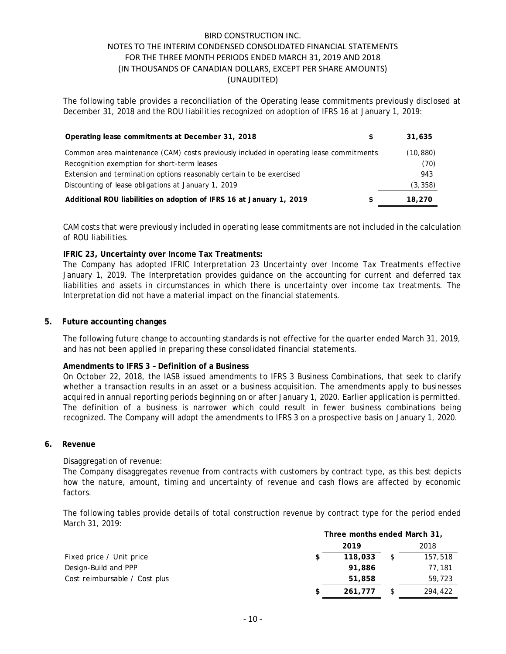The following table provides a reconciliation of the Operating lease commitments previously disclosed at December 31, 2018 and the ROU liabilities recognized on adoption of IFRS 16 at January 1, 2019:

| Operating lease commitments at December 31, 2018                                       | 31,635   |
|----------------------------------------------------------------------------------------|----------|
| Common area maintenance (CAM) costs previously included in operating lease commitments | (10,880) |
| Recognition exemption for short-term leases                                            | (70)     |
| Extension and termination options reasonably certain to be exercised                   | 943      |
| Discounting of lease obligations at January 1, 2019                                    | (3, 358) |
| Additional ROU liabilities on adoption of IFRS 16 at January 1, 2019                   | 18.270   |

CAM costs that were previously included in operating lease commitments are not included in the calculation of ROU liabilities.

## **IFRIC 23, Uncertainty over Income Tax Treatments:**

The Company has adopted IFRIC Interpretation 23 Uncertainty over Income Tax Treatments effective January 1, 2019. The Interpretation provides guidance on the accounting for current and deferred tax liabilities and assets in circumstances in which there is uncertainty over income tax treatments. The Interpretation did not have a material impact on the financial statements.

#### **5. Future accounting changes**

The following future change to accounting standards is not effective for the quarter ended March 31, 2019, and has not been applied in preparing these consolidated financial statements.

#### **Amendments to IFRS 3 – Definition of a Business**

On October 22, 2018, the IASB issued amendments to IFRS 3 Business Combinations, that seek to clarify whether a transaction results in an asset or a business acquisition. The amendments apply to businesses acquired in annual reporting periods beginning on or after January 1, 2020. Earlier application is permitted. The definition of a business is narrower which could result in fewer business combinations being recognized. The Company will adopt the amendments to IFRS 3 on a prospective basis on January 1, 2020.

#### **6. Revenue**

#### Disaggregation of revenue:

The Company disaggregates revenue from contracts with customers by contract type, as this best depicts how the nature, amount, timing and uncertainty of revenue and cash flows are affected by economic factors.

The following tables provide details of total construction revenue by contract type for the period ended March 31, 2019:

|                               |   | Three months ended March 31, |  |         |  |  |  |
|-------------------------------|---|------------------------------|--|---------|--|--|--|
|                               |   | 2019                         |  | 2018    |  |  |  |
| Fixed price / Unit price      | S | 118,033                      |  | 157,518 |  |  |  |
| Design-Build and PPP          |   | 91,886                       |  | 77,181  |  |  |  |
| Cost reimbursable / Cost plus |   | 51,858                       |  | 59,723  |  |  |  |
|                               |   | 261,777                      |  | 294,422 |  |  |  |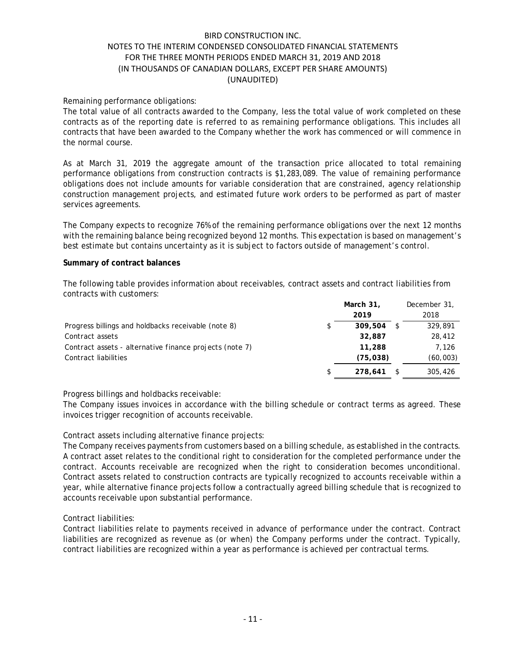## Remaining performance obligations:

The total value of all contracts awarded to the Company, less the total value of work completed on these contracts as of the reporting date is referred to as remaining performance obligations. This includes all contracts that have been awarded to the Company whether the work has commenced or will commence in the normal course.

As at March 31, 2019 the aggregate amount of the transaction price allocated to total remaining performance obligations from construction contracts is \$1,283,089. The value of remaining performance obligations does not include amounts for variable consideration that are constrained, agency relationship construction management projects, and estimated future work orders to be performed as part of master services agreements.

The Company expects to recognize 76% of the remaining performance obligations over the next 12 months with the remaining balance being recognized beyond 12 months. This expectation is based on management's best estimate but contains uncertainty as it is subject to factors outside of management's control.

### **Summary of contract balances**

The following table provides information about receivables, contract assets and contract liabilities from contracts with customers:

|                                                         |    | March 31, | December 31 |
|---------------------------------------------------------|----|-----------|-------------|
|                                                         |    | 2019      | 2018        |
| Progress billings and holdbacks receivable (note 8)     | S  | 309,504   | 329,891     |
| Contract assets                                         |    | 32,887    | 28,412      |
| Contract assets - alternative finance projects (note 7) |    | 11,288    | 7.126       |
| Contract liabilities                                    |    | (75, 038) | (60, 003)   |
|                                                         | \$ | 278.641   | 305,426     |

## Progress billings and holdbacks receivable:

The Company issues invoices in accordance with the billing schedule or contract terms as agreed. These invoices trigger recognition of accounts receivable.

## Contract assets including alternative finance projects:

The Company receives payments from customers based on a billing schedule, as established in the contracts. A contract asset relates to the conditional right to consideration for the completed performance under the contract. Accounts receivable are recognized when the right to consideration becomes unconditional. Contract assets related to construction contracts are typically recognized to accounts receivable within a year, while alternative finance projects follow a contractually agreed billing schedule that is recognized to accounts receivable upon substantial performance.

## Contract liabilities:

Contract liabilities relate to payments received in advance of performance under the contract. Contract liabilities are recognized as revenue as (or when) the Company performs under the contract. Typically, contract liabilities are recognized within a year as performance is achieved per contractual terms.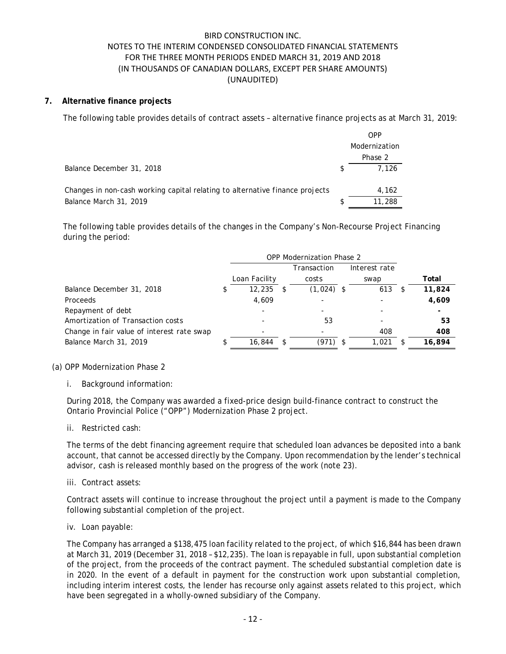### **7. Alternative finance projects**

The following table provides details of contract assets – alternative finance projects as at March 31, 2019:

|                                                                              |    | OPP           |
|------------------------------------------------------------------------------|----|---------------|
|                                                                              |    | Modernization |
|                                                                              |    | Phase 2       |
| Balance December 31, 2018                                                    | £. | 7.126         |
| Changes in non-cash working capital relating to alternative finance projects |    | 4,162         |
| Balance March 31, 2019                                                       |    | 11,288        |

The following table provides details of the changes in the Company's Non-Recourse Project Financing during the period:

|                                            | <b>OPP Modernization Phase 2</b> |    |              |               |    |        |
|--------------------------------------------|----------------------------------|----|--------------|---------------|----|--------|
|                                            |                                  |    | Transaction  | Interest rate |    |        |
|                                            | Loan Facility                    |    | costs        | swap          |    | Total  |
| Balance December 31, 2018                  | 12,235                           | \$ | $(1,024)$ \$ | 613           |    | 11,824 |
| <b>Proceeds</b>                            | 4,609                            |    |              |               |    | 4,609  |
| Repayment of debt                          |                                  |    |              |               |    |        |
| Amortization of Transaction costs          |                                  |    | 53           |               |    | 53     |
| Change in fair value of interest rate swap |                                  |    |              | 408           |    | 408    |
| Balance March 31, 2019                     | \$<br>16,844                     | -S | (971) \$     | 1.021         | -S | 16.894 |

## (a) OPP Modernization Phase 2

i. Background information:

During 2018, the Company was awarded a fixed-price design build-finance contract to construct the Ontario Provincial Police ("OPP") Modernization Phase 2 project.

ii. Restricted cash:

The terms of the debt financing agreement require that scheduled loan advances be deposited into a bank account, that cannot be accessed directly by the Company. Upon recommendation by the lender's technical advisor, cash is released monthly based on the progress of the work (note 23).

iii. Contract assets:

Contract assets will continue to increase throughout the project until a payment is made to the Company following substantial completion of the project.

iv. Loan payable:

The Company has arranged a \$138,475 loan facility related to the project, of which \$16,844 has been drawn at March 31, 2019 (December 31, 2018 – \$12,235). The loan is repayable in full, upon substantial completion of the project, from the proceeds of the contract payment. The scheduled substantial completion date is in 2020. In the event of a default in payment for the construction work upon substantial completion, including interim interest costs, the lender has recourse only against assets related to this project, which have been segregated in a wholly-owned subsidiary of the Company.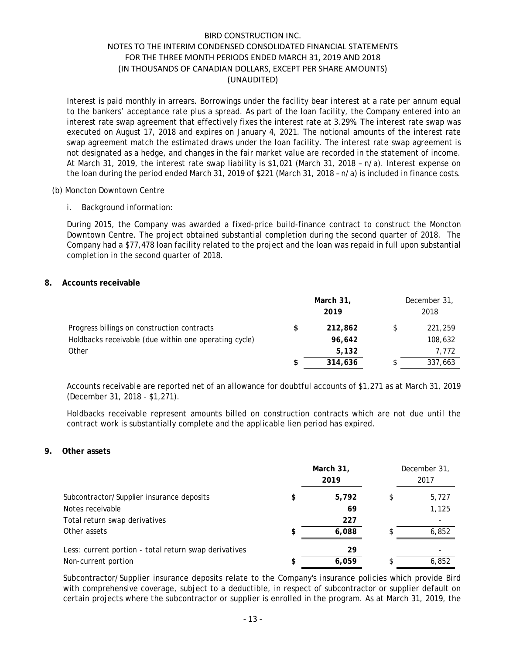Interest is paid monthly in arrears. Borrowings under the facility bear interest at a rate per annum equal to the bankers' acceptance rate plus a spread. As part of the loan facility, the Company entered into an interest rate swap agreement that effectively fixes the interest rate at 3.29%. The interest rate swap was executed on August 17, 2018 and expires on January 4, 2021. The notional amounts of the interest rate swap agreement match the estimated draws under the loan facility. The interest rate swap agreement is not designated as a hedge, and changes in the fair market value are recorded in the statement of income. At March 31, 2019, the interest rate swap liability is \$1,021 (March 31, 2018 – n/a). Interest expense on the loan during the period ended March 31, 2019 of \$221 (March 31, 2018 – n/a) is included in finance costs.

- (b) Moncton Downtown Centre
	- i. Background information:

During 2015, the Company was awarded a fixed-price build-finance contract to construct the Moncton Downtown Centre. The project obtained substantial completion during the second quarter of 2018. The Company had a \$77,478 loan facility related to the project and the loan was repaid in full upon substantial completion in the second quarter of 2018.

### **8. Accounts receivable**

|                                                       |   | March 31,<br>2019 |  | December 31,<br>2018 |
|-------------------------------------------------------|---|-------------------|--|----------------------|
| Progress billings on construction contracts           | S | 212,862           |  | 221,259              |
| Holdbacks receivable (due within one operating cycle) |   | 96,642            |  | 108,632              |
| Other                                                 |   | 5,132             |  | 7,772                |
|                                                       |   | 314,636           |  | 337,663              |

Accounts receivable are reported net of an allowance for doubtful accounts of \$1,271 as at March 31, 2019 (December 31, 2018 - \$1,271).

Holdbacks receivable represent amounts billed on construction contracts which are not due until the contract work is substantially complete and the applicable lien period has expired.

#### **9. Other assets**

|                                                       | March 31,<br>2019 |       | December 31,<br>2017 |  |
|-------------------------------------------------------|-------------------|-------|----------------------|--|
| Subcontractor/Supplier insurance deposits             | \$                | 5,792 | 5,727                |  |
| Notes receivable                                      |                   | 69    | 1,125                |  |
| Total return swap derivatives                         |                   | 227   |                      |  |
| Other assets                                          | \$                | 6,088 | 6,852                |  |
| Less: current portion - total return swap derivatives |                   | 29    |                      |  |
| Non-current portion                                   | S                 | 6,059 | 6,852                |  |

Subcontractor/Supplier insurance deposits relate to the Company's insurance policies which provide Bird with comprehensive coverage, subject to a deductible, in respect of subcontractor or supplier default on certain projects where the subcontractor or supplier is enrolled in the program. As at March 31, 2019, the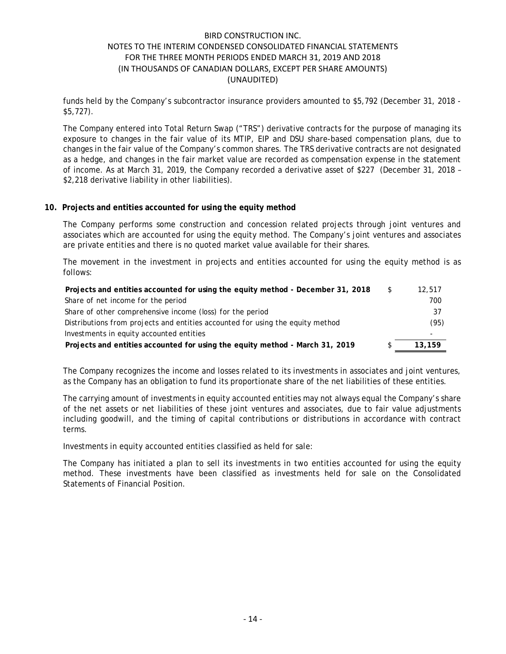funds held by the Company's subcontractor insurance providers amounted to \$5,792 (December 31, 2018 - \$5,727).

The Company entered into Total Return Swap ("TRS") derivative contracts for the purpose of managing its exposure to changes in the fair value of its MTIP, EIP and DSU share-based compensation plans, due to changes in the fair value of the Company's common shares. The TRS derivative contracts are not designated as a hedge, and changes in the fair market value are recorded as compensation expense in the statement of income. As at March 31, 2019, the Company recorded a derivative asset of \$227 (December 31, 2018 – \$2,218 derivative liability in other liabilities).

## **10. Projects and entities accounted for using the equity method**

The Company performs some construction and concession related projects through joint ventures and associates which are accounted for using the equity method. The Company's joint ventures and associates are private entities and there is no quoted market value available for their shares.

The movement in the investment in projects and entities accounted for using the equity method is as follows:

| Projects and entities accounted for using the equity method - December 31, 2018 | S. | 12,517 |
|---------------------------------------------------------------------------------|----|--------|
| Share of net income for the period                                              |    | 700    |
| Share of other comprehensive income (loss) for the period                       |    | 37     |
| Distributions from projects and entities accounted for using the equity method  |    | (95)   |
| Investments in equity accounted entities                                        |    | -      |
| Projects and entities accounted for using the equity method - March 31, 2019    |    | 13,159 |

The Company recognizes the income and losses related to its investments in associates and joint ventures, as the Company has an obligation to fund its proportionate share of the net liabilities of these entities.

The carrying amount of investments in equity accounted entities may not always equal the Company's share of the net assets or net liabilities of these joint ventures and associates, due to fair value adjustments including goodwill, and the timing of capital contributions or distributions in accordance with contract terms.

Investments in equity accounted entities classified as held for sale:

The Company has initiated a plan to sell its investments in two entities accounted for using the equity method. These investments have been classified as investments held for sale on the Consolidated Statements of Financial Position.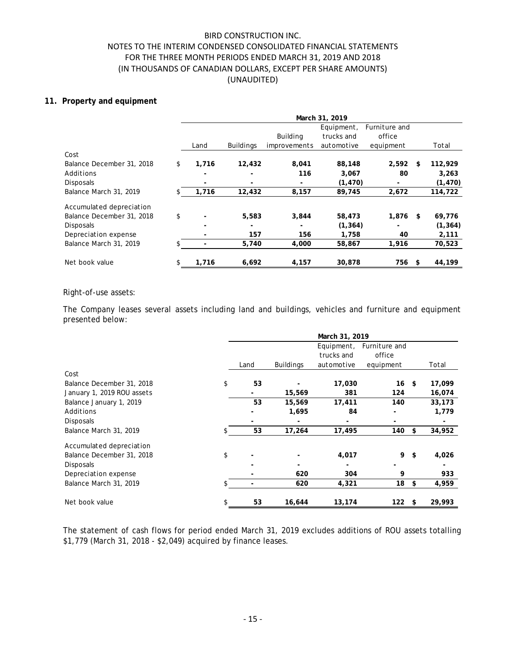### **11. Property and equipment**

|                           |     |       |                  |                          | March 31, 2019                         |                                      |    |          |
|---------------------------|-----|-------|------------------|--------------------------|----------------------------------------|--------------------------------------|----|----------|
|                           |     | Land  | <b>Buildings</b> | Building<br>improvements | Equipment,<br>trucks and<br>automotive | Furniture and<br>office<br>equipment |    | Total    |
| Cost                      |     |       |                  |                          |                                        |                                      |    |          |
| Balance December 31, 2018 | \$  | 1.716 | 12,432           | 8,041                    | 88,148                                 | 2,592                                | \$ | 112,929  |
| Additions                 |     |       | ۰                | 116                      | 3,067                                  | 80                                   |    | 3,263    |
| <b>Disposals</b>          |     |       |                  |                          | (1, 470)                               |                                      |    | (1, 470) |
| Balance March 31, 2019    | \$. | 1,716 | 12,432           | 8,157                    | 89,745                                 | 2,672                                |    | 114,722  |
| Accumulated depreciation  |     |       |                  |                          |                                        |                                      |    |          |
| Balance December 31, 2018 | \$  |       | 5,583            | 3,844                    | 58,473                                 | 1,876                                | \$ | 69,776   |
| <b>Disposals</b>          |     |       | ۰                |                          | (1, 364)                               |                                      |    | (1, 364) |
| Depreciation expense      |     |       | 157              | 156                      | 1,758                                  | 40                                   |    | 2,111    |
| Balance March 31, 2019    |     |       | 5,740            | 4,000                    | 58,867                                 | 1,916                                |    | 70,523   |
| Net book value            | \$  | 1,716 | 6,692            | 4,157                    | 30,878                                 | 756                                  | S  | 44,199   |

### Right-of-use assets:

The Company leases several assets including land and buildings, vehicles and furniture and equipment presented below:

|                            |          |                  | March 31, 2019 |               |              |
|----------------------------|----------|------------------|----------------|---------------|--------------|
|                            |          |                  | Equipment,     | Furniture and |              |
|                            |          |                  | trucks and     | office        |              |
|                            | Land     | <b>Buildings</b> | automotive     | equipment     | Total        |
| Cost                       |          |                  |                |               |              |
| Balance December 31, 2018  | \$<br>53 |                  | 17,030         | $16 \quad$ \$ | 17,099       |
| January 1, 2019 ROU assets |          | 15,569           | 381            | 124           | 16,074       |
| Balance January 1, 2019    | 53       | 15,569           | 17,411         | 140           | 33,173       |
| Additions                  |          | 1,695            | 84             |               | 1,779        |
| <b>Disposals</b>           |          |                  |                |               |              |
| Balance March 31, 2019     | 53       | 17,264           | 17,495         | 140           | \$<br>34,952 |
| Accumulated depreciation   |          |                  |                |               |              |
| Balance December 31, 2018  | \$       |                  | 4,017          | 9             | \$<br>4,026  |
| <b>Disposals</b>           |          |                  |                |               |              |
| Depreciation expense       |          | 620              | 304            | 9             | 933          |
| Balance March 31, 2019     | \$       | 620              | 4,321          | 18            | \$<br>4,959  |
| Net book value             | \$<br>53 | 16,644           | 13,174         | 122           | \$<br>29,993 |

The statement of cash flows for period ended March 31, 2019 excludes additions of ROU assets totalling \$1,779 (March 31, 2018 - \$2,049) acquired by finance leases.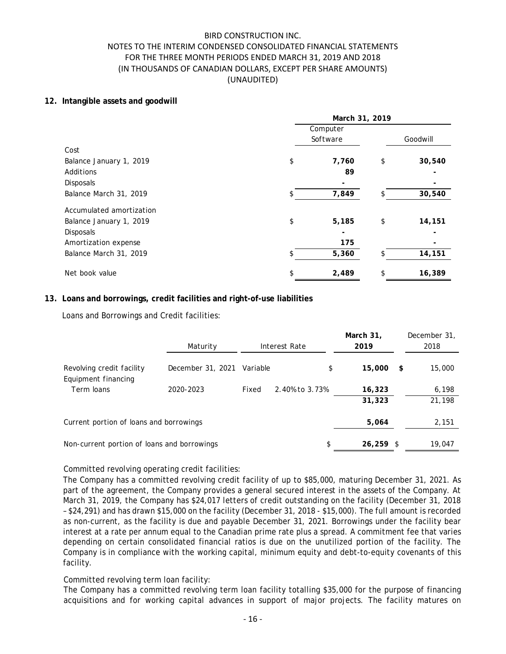### **12. Intangible assets and goodwill**

| March 31, 2019 |       |                      |          |  |  |  |  |
|----------------|-------|----------------------|----------|--|--|--|--|
|                |       |                      |          |  |  |  |  |
|                |       |                      | Goodwill |  |  |  |  |
|                |       |                      |          |  |  |  |  |
| \$             | 7,760 | \$                   | 30,540   |  |  |  |  |
|                | 89    |                      |          |  |  |  |  |
|                |       |                      |          |  |  |  |  |
|                | 7,849 |                      | 30,540   |  |  |  |  |
|                |       |                      |          |  |  |  |  |
| \$             | 5,185 | \$                   | 14,151   |  |  |  |  |
|                |       |                      |          |  |  |  |  |
|                | 175   |                      |          |  |  |  |  |
|                | 5,360 |                      | 14,151   |  |  |  |  |
| \$             | 2,489 | \$.                  | 16,389   |  |  |  |  |
|                |       | Computer<br>Software |          |  |  |  |  |

## **13. Loans and borrowings, credit facilities and right-of-use liabilities**

Loans and Borrowings and Credit facilities:

|                                                  | Maturity          |          | Interest Rate  | March 31,<br>2019 | December 31,<br>2018 |
|--------------------------------------------------|-------------------|----------|----------------|-------------------|----------------------|
| Revolving credit facility<br>Equipment financing | December 31, 2021 | Variable |                | \$<br>15,000      | \$<br>15,000         |
| Term loans                                       | 2020-2023         | Fixed    | 2.40% to 3.73% | 16,323            | 6,198                |
|                                                  |                   |          |                | 31,323            | 21,198               |
| Current portion of loans and borrowings          |                   |          |                | 5,064             | 2,151                |
| Non-current portion of loans and borrowings      |                   |          |                | \$<br>$26,259$ \$ | 19,047               |

Committed revolving operating credit facilities:

The Company has a committed revolving credit facility of up to \$85,000, maturing December 31, 2021. As part of the agreement, the Company provides a general secured interest in the assets of the Company. At March 31, 2019, the Company has \$24,017 letters of credit outstanding on the facility (December 31, 2018 – \$24,291) and has drawn \$15,000 on the facility (December 31, 2018 - \$15,000). The full amount is recorded as non-current, as the facility is due and payable December 31, 2021. Borrowings under the facility bear interest at a rate per annum equal to the Canadian prime rate plus a spread. A commitment fee that varies depending on certain consolidated financial ratios is due on the unutilized portion of the facility. The Company is in compliance with the working capital, minimum equity and debt-to-equity covenants of this facility.

## Committed revolving term loan facility:

The Company has a committed revolving term loan facility totalling \$35,000 for the purpose of financing acquisitions and for working capital advances in support of major projects. The facility matures on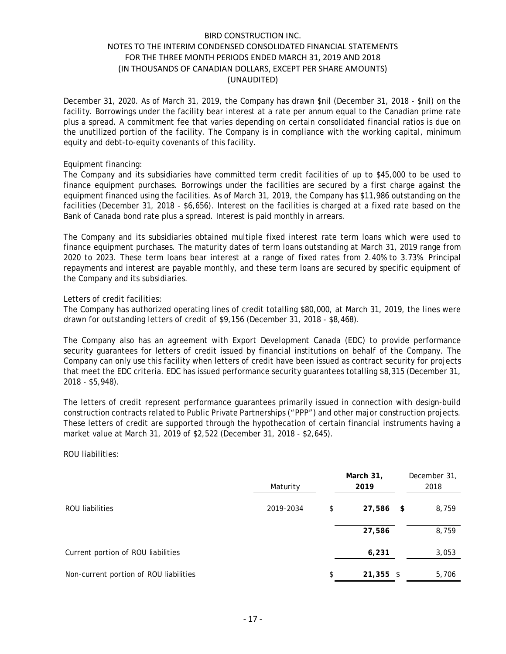December 31, 2020. As of March 31, 2019, the Company has drawn \$nil (December 31, 2018 - \$nil) on the facility. Borrowings under the facility bear interest at a rate per annum equal to the Canadian prime rate plus a spread. A commitment fee that varies depending on certain consolidated financial ratios is due on the unutilized portion of the facility. The Company is in compliance with the working capital, minimum equity and debt-to-equity covenants of this facility.

### Equipment financing:

The Company and its subsidiaries have committed term credit facilities of up to \$45,000 to be used to finance equipment purchases. Borrowings under the facilities are secured by a first charge against the equipment financed using the facilities. As of March 31, 2019, the Company has \$11,986 outstanding on the facilities (December 31, 2018 - \$6,656). Interest on the facilities is charged at a fixed rate based on the Bank of Canada bond rate plus a spread. Interest is paid monthly in arrears.

The Company and its subsidiaries obtained multiple fixed interest rate term loans which were used to finance equipment purchases. The maturity dates of term loans outstanding at March 31, 2019 range from 2020 to 2023. These term loans bear interest at a range of fixed rates from 2.40% to 3.73%. Principal repayments and interest are payable monthly, and these term loans are secured by specific equipment of the Company and its subsidiaries.

Letters of credit facilities:

The Company has authorized operating lines of credit totalling \$80,000, at March 31, 2019, the lines were drawn for outstanding letters of credit of \$9,156 (December 31, 2018 - \$8,468).

The Company also has an agreement with Export Development Canada (EDC) to provide performance security guarantees for letters of credit issued by financial institutions on behalf of the Company. The Company can only use this facility when letters of credit have been issued as contract security for projects that meet the EDC criteria. EDC has issued performance security guarantees totalling \$8,315 (December 31, 2018 - \$5,948).

The letters of credit represent performance guarantees primarily issued in connection with design-build construction contracts related to Public Private Partnerships ("PPP") and other major construction projects. These letters of credit are supported through the hypothecation of certain financial instruments having a market value at March 31, 2019 of \$2,522 (December 31, 2018 - \$2,645).

### ROU liabilities:

|                                        | Maturity  | March 31,<br>2019 | December 31,<br>2018 |
|----------------------------------------|-----------|-------------------|----------------------|
| ROU liabilities                        | 2019-2034 | \$<br>$27,586$ \$ | 8,759                |
|                                        |           | 27,586            | 8,759                |
| Current portion of ROU liabilities     |           | 6,231             | 3,053                |
| Non-current portion of ROU liabilities |           | \$<br>$21,355$ \$ | 5,706                |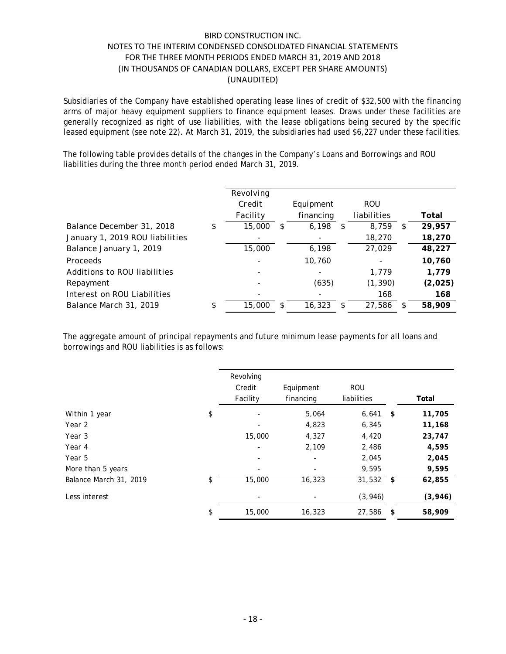Subsidiaries of the Company have established operating lease lines of credit of \$32,500 with the financing arms of major heavy equipment suppliers to finance equipment leases. Draws under these facilities are generally recognized as right of use liabilities, with the lease obligations being secured by the specific leased equipment (see note 22). At March 31, 2019, the subsidiaries had used \$6,227 under these facilities.

The following table provides details of the changes in the Company's Loans and Borrowings and ROU liabilities during the three month period ended March 31, 2019.

|                                 | Revolving<br>Credit | Equipment   |   | <b>ROU</b>  |     |         |
|---------------------------------|---------------------|-------------|---|-------------|-----|---------|
|                                 | Facility            | financing   |   | liabilities |     | Total   |
| Balance December 31, 2018       | \$<br>15,000        | \$<br>6,198 | S | 8.759       | \$  | 29,957  |
| January 1, 2019 ROU liabilities |                     |             |   | 18,270      |     | 18,270  |
| Balance January 1, 2019         | 15,000              | 6,198       |   | 27,029      |     | 48,227  |
| <b>Proceeds</b>                 |                     | 10,760      |   |             |     | 10,760  |
| Additions to ROU liabilities    |                     |             |   | 1.779       |     | 1.779   |
| Repayment                       |                     | (635)       |   | (1, 390)    |     | (2,025) |
| Interest on ROU Liabilities     |                     |             |   | 168         |     | 168     |
| Balance March 31, 2019          | \$<br>15,000        | 16,323      |   | 27,586      | \$. | 58,909  |

The aggregate amount of principal repayments and future minimum lease payments for all loans and borrowings and ROU liabilities is as follows:

|                        | Revolving<br>Credit<br>Facility | Equipment<br>financing | <b>ROU</b><br>liabilities | Total        |
|------------------------|---------------------------------|------------------------|---------------------------|--------------|
| Within 1 year          | \$                              | 5,064                  | 6,641                     | \$<br>11,705 |
| Year 2                 |                                 | 4,823                  | 6,345                     | 11,168       |
| Year 3                 | 15,000                          | 4,327                  | 4,420                     | 23,747       |
| Year 4                 |                                 | 2,109                  | 2,486                     | 4,595        |
| Year 5                 |                                 | -                      | 2,045                     | 2,045        |
| More than 5 years      |                                 |                        | 9,595                     | 9,595        |
| Balance March 31, 2019 | \$<br>15,000                    | 16,323                 | 31,532                    | \$<br>62,855 |
| Less interest          |                                 |                        | (3, 946)                  | (3,946)      |
|                        | \$<br>15,000                    | 16,323                 | 27,586                    | \$<br>58,909 |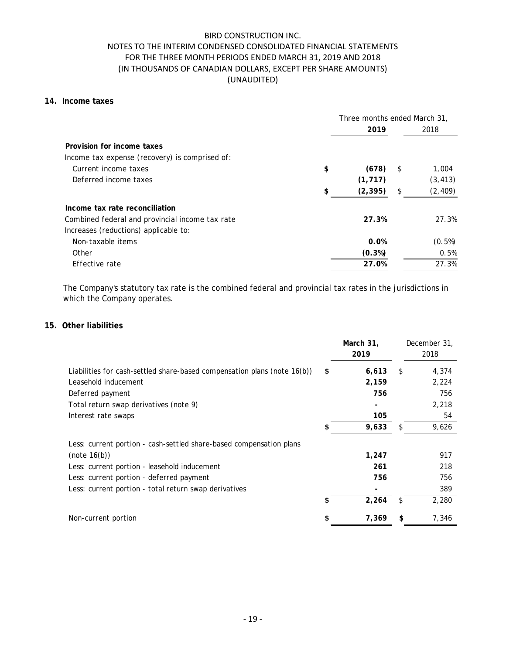## **14. Income taxes**

|                                                 | Three months ended March 31, |                |
|-------------------------------------------------|------------------------------|----------------|
|                                                 | 2019                         | 2018           |
| Provision for income taxes                      |                              |                |
| Income tax expense (recovery) is comprised of:  |                              |                |
| Current income taxes                            | \$<br>(678)                  | \$<br>1,004    |
| Deferred income taxes                           | (1, 717)                     | (3, 413)       |
|                                                 | \$<br>(2, 395)               | \$<br>(2, 409) |
| Income tax rate reconciliation                  |                              |                |
| Combined federal and provincial income tax rate | 27.3%                        | 27.3%          |
| Increases (reductions) applicable to:           |                              |                |
| Non-taxable items                               | 0.0%                         | (0.5%)         |
| Other                                           | (0.3%)                       | 0.5%           |
| Effective rate                                  | 27.0%                        | 27.3%          |

The Company's statutory tax rate is the combined federal and provincial tax rates in the jurisdictions in which the Company operates.

# **15. Other liabilities**

|                                                                             |    | March 31,<br>2019 |    | December 31,<br>2018 |
|-----------------------------------------------------------------------------|----|-------------------|----|----------------------|
| Liabilities for cash-settled share-based compensation plans (note $16(b)$ ) | \$ | 6,613             | \$ | 4,374                |
| Leasehold inducement                                                        |    | 2,159             |    | 2,224                |
| Deferred payment                                                            |    | 756               |    | 756                  |
| Total return swap derivatives (note 9)                                      |    |                   |    | 2,218                |
| Interest rate swaps                                                         |    | 105               |    | 54                   |
|                                                                             | S  | 9,633             | S  | 9,626                |
| Less: current portion - cash-settled share-based compensation plans         |    |                   |    |                      |
| (note 16(b))                                                                |    | 1,247             |    | 917                  |
| Less: current portion - leasehold inducement                                |    | 261               |    | 218                  |
| Less: current portion - deferred payment                                    |    | 756               |    | 756                  |
| Less: current portion - total return swap derivatives                       |    |                   |    | 389                  |
|                                                                             | \$ | 2,264             | \$ | 2,280                |
| Non-current portion                                                         | \$ | 7,369             | \$ | 7,346                |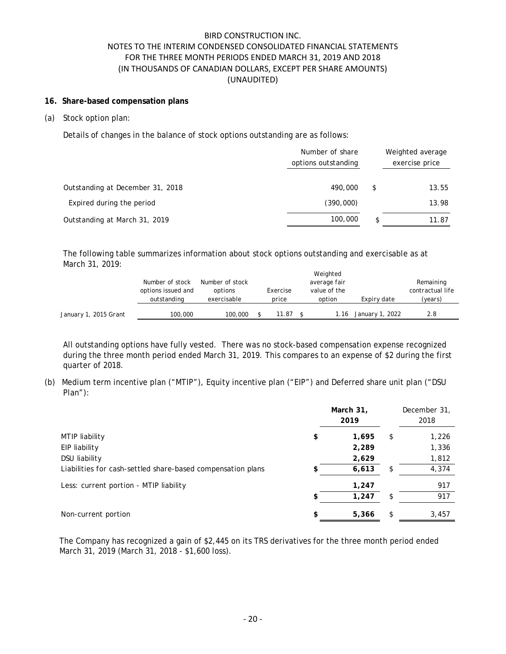### **16. Share-based compensation plans**

#### (a) Stock option plan:

Details of changes in the balance of stock options outstanding are as follows:

|                                  | Number of share<br>options outstanding | Weighted average<br>exercise price |
|----------------------------------|----------------------------------------|------------------------------------|
| Outstanding at December 31, 2018 | 490,000                                | \$<br>13.55                        |
| Expired during the period        | (390,000)                              | 13.98                              |
| Outstanding at March 31, 2019    | 100,000                                | \$<br>11.87                        |

The following table summarizes information about stock options outstanding and exercisable as at March 31, 2019: Weighted

|                       | Number of stock                   | Number of stock        |                   | Weighted<br>average fair |                 | Remaining                   |
|-----------------------|-----------------------------------|------------------------|-------------------|--------------------------|-----------------|-----------------------------|
|                       | options issued and<br>outstanding | options<br>exercisable | Exercise<br>price | value of the<br>option   | Expiry date     | contractual life<br>(years) |
| January 1, 2015 Grant | 100,000                           | 100,000                | 11.87             | 1.16                     | January 1, 2022 | 2.8                         |

All outstanding options have fully vested. There was no stock-based compensation expense recognized during the three month period ended March 31, 2019. This compares to an expense of \$2 during the first quarter of 2018.

(b) Medium term incentive plan ("MTIP"), Equity incentive plan ("EIP") and Deferred share unit plan ("DSU Plan"):

|                                                             | March 31,<br>2019 | December 31,<br>2018 |
|-------------------------------------------------------------|-------------------|----------------------|
| MTIP liability                                              | \$<br>1,695       | \$<br>1,226          |
| EIP liability                                               | 2,289             | 1,336                |
| DSU liability                                               | 2,629             | 1,812                |
| Liabilities for cash-settled share-based compensation plans | \$<br>6,613       | \$<br>4,374          |
| Less: current portion - MTIP liability                      | 1,247             | 917                  |
|                                                             | \$<br>1,247       | \$<br>917            |
| Non-current portion                                         | \$<br>5,366       | \$<br>3,457          |

The Company has recognized a gain of \$2,445 on its TRS derivatives for the three month period ended March 31, 2019 (March 31, 2018 - \$1,600 loss).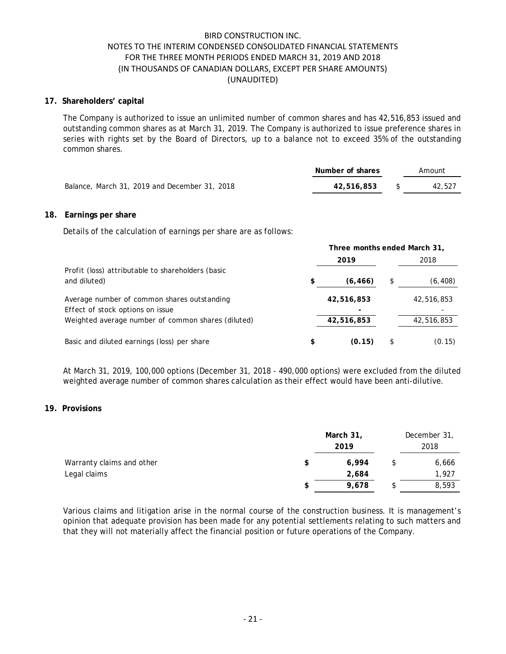### **17. Shareholders' capital**

The Company is authorized to issue an unlimited number of common shares and has 42,516,853 issued and outstanding common shares as at March 31, 2019. The Company is authorized to issue preference shares in series with rights set by the Board of Directors, up to a balance not to exceed 35% of the outstanding common shares.

|                                               | Number of shares | Amount |        |  |
|-----------------------------------------------|------------------|--------|--------|--|
| Balance, March 31, 2019 and December 31, 2018 | 42,516,853       |        | 42,527 |  |

### **18. Earnings per share**

Details of the calculation of earnings per share are as follows:

|                                                    | Three months ended March 31, |            |    |            |
|----------------------------------------------------|------------------------------|------------|----|------------|
|                                                    |                              | 2019       |    | 2018       |
| Profit (loss) attributable to shareholders (basic  |                              |            |    |            |
| and diluted)                                       |                              | (6, 466)   | \$ | (6,408)    |
| Average number of common shares outstanding        |                              | 42,516,853 |    | 42,516,853 |
| Effect of stock options on issue                   |                              |            |    |            |
| Weighted average number of common shares (diluted) |                              | 42,516,853 |    | 42,516,853 |
| Basic and diluted earnings (loss) per share        |                              | (0.15)     |    | (0.15)     |

At March 31, 2019, 100,000 options (December 31, 2018 - 490,000 options) were excluded from the diluted weighted average number of common shares calculation as their effect would have been anti-dilutive.

## **19. Provisions**

|                           |   | March 31,<br>2019 | December 31,<br>2018 |  |
|---------------------------|---|-------------------|----------------------|--|
| Warranty claims and other | S | 6.994             | 6,666                |  |
| Legal claims              |   | 2,684             | 1,927                |  |
|                           | S | 9.678             | 8,593                |  |

Various claims and litigation arise in the normal course of the construction business. It is management's opinion that adequate provision has been made for any potential settlements relating to such matters and that they will not materially affect the financial position or future operations of the Company.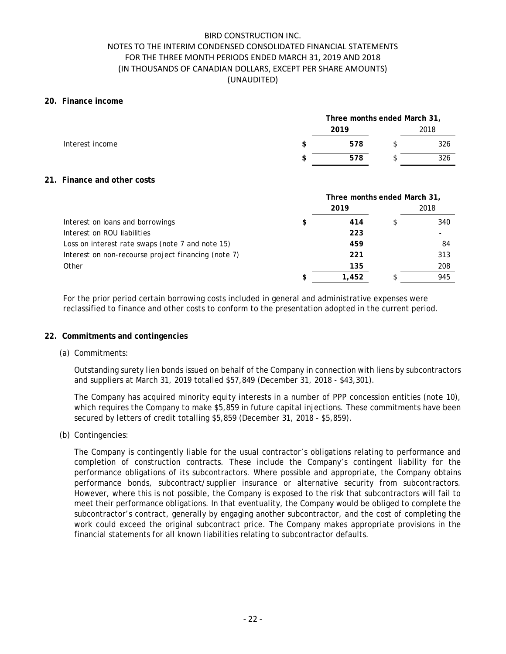### **20. Finance income**

|                 | Three months ended March 31, |      |  |      |  |
|-----------------|------------------------------|------|--|------|--|
|                 |                              | 2019 |  | 2018 |  |
| Interest income |                              | 578  |  | 326  |  |
|                 |                              | 578  |  | 326  |  |

### **21. Finance and other costs**

|                                                     | Three months ended March 31, |       |  |      |
|-----------------------------------------------------|------------------------------|-------|--|------|
|                                                     |                              | 2019  |  | 2018 |
| Interest on loans and borrowings                    | S                            | 414   |  | 340  |
| Interest on ROU liabilities                         |                              | 223   |  |      |
| Loss on interest rate swaps (note 7 and note 15)    |                              | 459   |  | 84   |
| Interest on non-recourse project financing (note 7) |                              | 221   |  | 313  |
| Other                                               |                              | 135   |  | 208  |
|                                                     |                              | 1,452 |  | 945  |

For the prior period certain borrowing costs included in general and administrative expenses were reclassified to finance and other costs to conform to the presentation adopted in the current period.

## **22. Commitments and contingencies**

(a) Commitments:

Outstanding surety lien bonds issued on behalf of the Company in connection with liens by subcontractors and suppliers at March 31, 2019 totalled \$57,849 (December 31, 2018 - \$43,301).

The Company has acquired minority equity interests in a number of PPP concession entities (note 10), which requires the Company to make \$5,859 in future capital injections. These commitments have been secured by letters of credit totalling \$5,859 (December 31, 2018 - \$5,859).

(b) Contingencies:

The Company is contingently liable for the usual contractor's obligations relating to performance and completion of construction contracts. These include the Company's contingent liability for the performance obligations of its subcontractors. Where possible and appropriate, the Company obtains performance bonds, subcontract/supplier insurance or alternative security from subcontractors. However, where this is not possible, the Company is exposed to the risk that subcontractors will fail to meet their performance obligations. In that eventuality, the Company would be obliged to complete the subcontractor's contract, generally by engaging another subcontractor, and the cost of completing the work could exceed the original subcontract price. The Company makes appropriate provisions in the financial statements for all known liabilities relating to subcontractor defaults.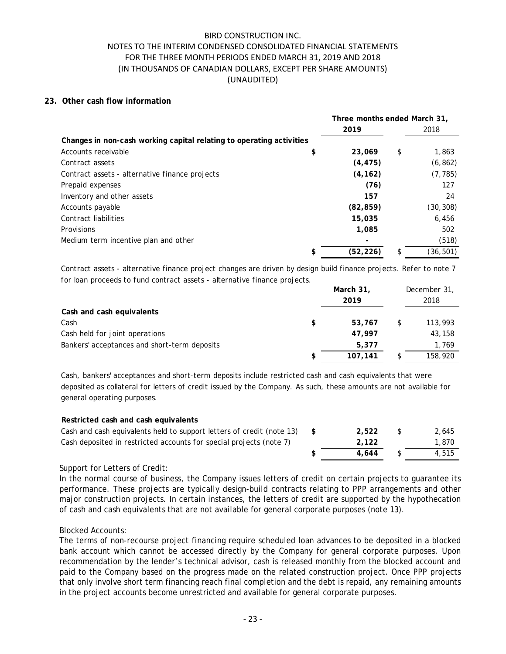### **23. Other cash flow information**

|                                                                      | Three months ended March 31, |    |           |
|----------------------------------------------------------------------|------------------------------|----|-----------|
|                                                                      | 2019                         |    | 2018      |
| Changes in non-cash working capital relating to operating activities |                              |    |           |
| Accounts receivable                                                  | \$<br>23.069                 | \$ | 1,863     |
| Contract assets                                                      | (4, 475)                     |    | (6, 862)  |
| Contract assets - alternative finance projects                       | (4, 162)                     |    | (7, 785)  |
| Prepaid expenses                                                     | (76)                         |    | 127       |
| Inventory and other assets                                           | 157                          |    | 24        |
| Accounts payable                                                     | (82, 859)                    |    | (30, 308) |
| Contract liabilities                                                 | 15,035                       |    | 6,456     |
| Provisions                                                           | 1,085                        |    | 502       |
| Medium term incentive plan and other                                 |                              |    | (518)     |
|                                                                      | \$<br>(52, 226)              | \$ | (36, 501) |

Contract assets - alternative finance project changes are driven by design build finance projects. Refer to note 7 for loan proceeds to fund contract assets - alternative finance projects.

|                                              | March 31,    | December 31, |
|----------------------------------------------|--------------|--------------|
|                                              | 2019         | 2018         |
| Cash and cash equivalents                    |              |              |
| Cash                                         | \$<br>53.767 | 113,993      |
| Cash held for joint operations               | 47.997       | 43,158       |
| Bankers' acceptances and short-term deposits | 5.377        | 1.769        |
|                                              | 107.141      | 158,920      |

Cash, bankers' acceptances and short-term deposits include restricted cash and cash equivalents that were deposited as collateral for letters of credit issued by the Company. As such, these amounts are not available for general operating purposes.

| Restricted cash and cash equivalents                                  |       |     |       |
|-----------------------------------------------------------------------|-------|-----|-------|
| Cash and cash equivalents held to support letters of credit (note 13) | 2.522 | -SS | 2.645 |
| Cash deposited in restricted accounts for special projects (note 7)   | 2.122 |     | 1.870 |
|                                                                       | 4.644 |     | 4.515 |

## Support for Letters of Credit:

In the normal course of business, the Company issues letters of credit on certain projects to guarantee its performance. These projects are typically design-build contracts relating to PPP arrangements and other major construction projects. In certain instances, the letters of credit are supported by the hypothecation of cash and cash equivalents that are not available for general corporate purposes (note 13).

#### Blocked Accounts:

The terms of non-recourse project financing require scheduled loan advances to be deposited in a blocked bank account which cannot be accessed directly by the Company for general corporate purposes. Upon recommendation by the lender's technical advisor, cash is released monthly from the blocked account and paid to the Company based on the progress made on the related construction project. Once PPP projects that only involve short term financing reach final completion and the debt is repaid, any remaining amounts in the project accounts become unrestricted and available for general corporate purposes.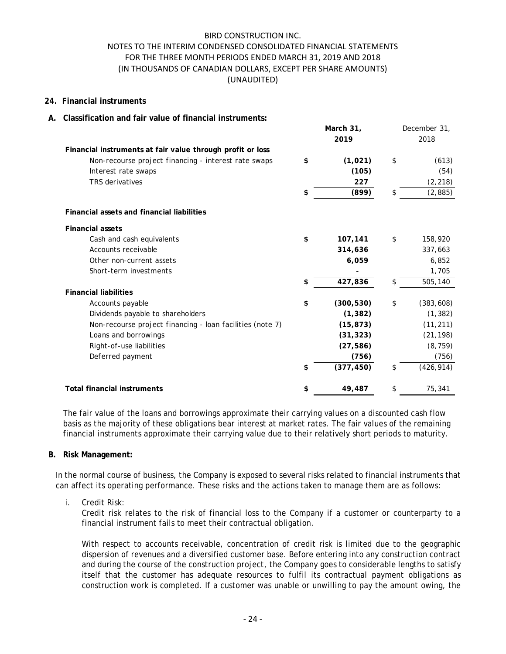**March 31,** 

December 31,

### **24. Financial instruments**

### **A. Classification and fair value of financial instruments:**

|                                                            | March 31,        |     | December 31, |
|------------------------------------------------------------|------------------|-----|--------------|
|                                                            | 2019             |     | 2018         |
| Financial instruments at fair value through profit or loss |                  |     |              |
| Non-recourse project financing - interest rate swaps       | \$<br>(1,021)    | \$  | (613)        |
| Interest rate swaps                                        | (105)            |     | (54)         |
| <b>TRS</b> derivatives                                     | 227              |     | (2, 218)     |
|                                                            | \$<br>(899)      | \$  | (2, 885)     |
| <b>Financial assets and financial liabilities</b>          |                  |     |              |
| <b>Financial assets</b>                                    |                  |     |              |
| Cash and cash equivalents                                  | \$<br>107,141    | \$  | 158,920      |
| Accounts receivable                                        | 314,636          |     | 337,663      |
| Other non-current assets                                   | 6,059            |     | 6,852        |
| Short-term investments                                     |                  |     | 1,705        |
|                                                            | \$<br>427,836    | \$. | 505,140      |
| <b>Financial liabilities</b>                               |                  |     |              |
| Accounts payable                                           | \$<br>(300, 530) | \$  | (383, 608)   |
| Dividends payable to shareholders                          | (1, 382)         |     | (1, 382)     |
| Non-recourse project financing - loan facilities (note 7)  | (15, 873)        |     | (11, 211)    |
| Loans and borrowings                                       | (31, 323)        |     | (21, 198)    |
| Right-of-use liabilities                                   | (27, 586)        |     | (8, 759)     |
| Deferred payment                                           | (756)            |     | (756)        |
|                                                            | \$<br>(377, 450) | \$  | (426, 914)   |
| <b>Total financial instruments</b>                         | \$<br>49,487     | \$  | 75,341       |

The fair value of the loans and borrowings approximate their carrying values on a discounted cash flow basis as the majority of these obligations bear interest at market rates. The fair values of the remaining financial instruments approximate their carrying value due to their relatively short periods to maturity.

### **B. Risk Management:**

In the normal course of business, the Company is exposed to several risks related to financial instruments that can affect its operating performance. These risks and the actions taken to manage them are as follows:

i. Credit Risk:

Credit risk relates to the risk of financial loss to the Company if a customer or counterparty to a financial instrument fails to meet their contractual obligation.

With respect to accounts receivable, concentration of credit risk is limited due to the geographic dispersion of revenues and a diversified customer base. Before entering into any construction contract and during the course of the construction project, the Company goes to considerable lengths to satisfy itself that the customer has adequate resources to fulfil its contractual payment obligations as construction work is completed. If a customer was unable or unwilling to pay the amount owing, the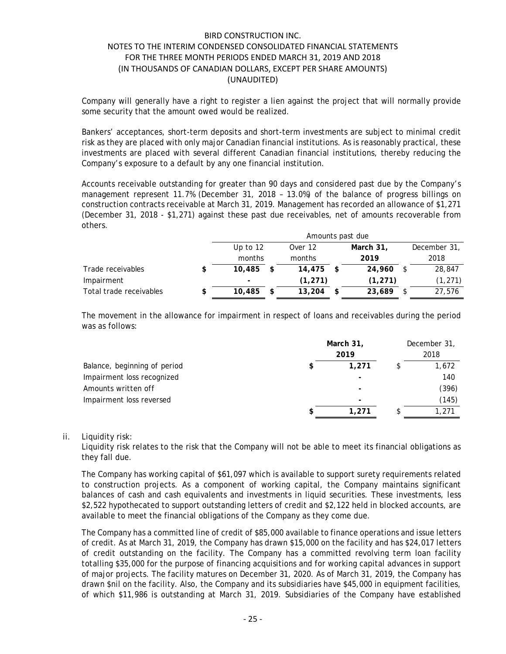Company will generally have a right to register a lien against the project that will normally provide some security that the amount owed would be realized.

Bankers' acceptances, short-term deposits and short-term investments are subject to minimal credit risk as they are placed with only major Canadian financial institutions. As is reasonably practical, these investments are placed with several different Canadian financial institutions, thereby reducing the Company's exposure to a default by any one financial institution.

Accounts receivable outstanding for greater than 90 days and considered past due by the Company's management represent 11.7% (December 31, 2018 – 13.0%) of the balance of progress billings on construction contracts receivable at March 31, 2019. Management has recorded an allowance of \$1,271 (December 31, 2018 - \$1,271) against these past due receivables, net of amounts recoverable from others.

|                         | Amounts past due |  |          |    |           |              |
|-------------------------|------------------|--|----------|----|-----------|--------------|
|                         | Up to $12$       |  | Over 12  |    | March 31, | December 31, |
|                         | months           |  | months   |    | 2019      | 2018         |
| Trade receivables       | 10,485           |  | 14,475   |    | 24,960    | 28,847       |
| Impairment              | $\blacksquare$   |  | (1, 271) |    | (1, 271)  | (1, 271)     |
| Total trade receivables | 10,485           |  | 13,204   | \$ | 23,689    | 27,576       |

The movement in the allowance for impairment in respect of loans and receivables during the period was as follows:

|                              | March 31, |                | December 31, |  |
|------------------------------|-----------|----------------|--------------|--|
|                              |           | 2018           |              |  |
| Balance, beginning of period |           | 1,271          | 1,672        |  |
| Impairment loss recognized   |           |                | 140          |  |
| Amounts written off          |           | $\blacksquare$ | (396)        |  |
| Impairment loss reversed     |           | $\blacksquare$ | (145)        |  |
|                              |           | 1,271          | 1,271        |  |

#### ii. Liquidity risk:

Liquidity risk relates to the risk that the Company will not be able to meet its financial obligations as they fall due.

The Company has working capital of \$61,097 which is available to support surety requirements related to construction projects. As a component of working capital, the Company maintains significant balances of cash and cash equivalents and investments in liquid securities. These investments, less \$2,522 hypothecated to support outstanding letters of credit and \$2,122 held in blocked accounts, are available to meet the financial obligations of the Company as they come due.

The Company has a committed line of credit of \$85,000 available to finance operations and issue letters of credit. As at March 31, 2019, the Company has drawn \$15,000 on the facility and has \$24,017 letters of credit outstanding on the facility. The Company has a committed revolving term loan facility totalling \$35,000 for the purpose of financing acquisitions and for working capital advances in support of major projects. The facility matures on December 31, 2020. As of March 31, 2019, the Company has drawn \$nil on the facility. Also, the Company and its subsidiaries have \$45,000 in equipment facilities, of which \$11,986 is outstanding at March 31, 2019. Subsidiaries of the Company have established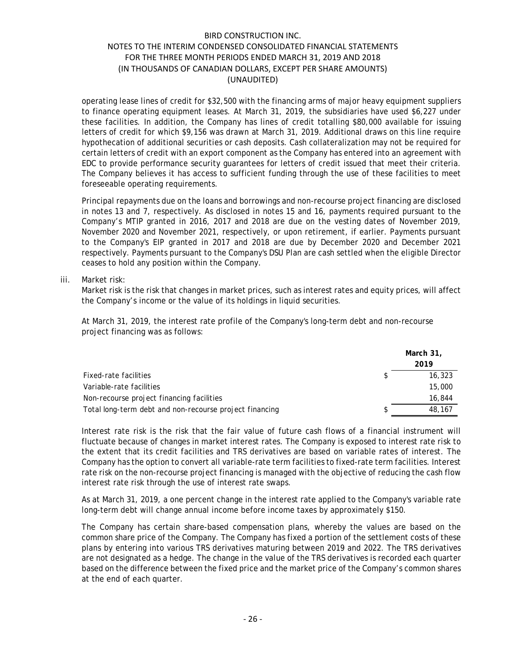operating lease lines of credit for \$32,500 with the financing arms of major heavy equipment suppliers to finance operating equipment leases. At March 31, 2019, the subsidiaries have used \$6,227 under these facilities. In addition, the Company has lines of credit totalling \$80,000 available for issuing letters of credit for which \$9,156 was drawn at March 31, 2019. Additional draws on this line require hypothecation of additional securities or cash deposits. Cash collateralization may not be required for certain letters of credit with an export component as the Company has entered into an agreement with EDC to provide performance security guarantees for letters of credit issued that meet their criteria. The Company believes it has access to sufficient funding through the use of these facilities to meet foreseeable operating requirements.

Principal repayments due on the loans and borrowings and non-recourse project financing are disclosed in notes 13 and 7, respectively. As disclosed in notes 15 and 16, payments required pursuant to the Company's MTIP granted in 2016, 2017 and 2018 are due on the vesting dates of November 2019, November 2020 and November 2021, respectively, or upon retirement, if earlier. Payments pursuant to the Company's EIP granted in 2017 and 2018 are due by December 2020 and December 2021 respectively. Payments pursuant to the Company's DSU Plan are cash settled when the eligible Director ceases to hold any position within the Company.

### iii. Market risk:

Market risk is the risk that changes in market prices, such as interest rates and equity prices, will affect the Company's income or the value of its holdings in liquid securities.

At March 31, 2019, the interest rate profile of the Company's long-term debt and non-recourse project financing was as follows:

|                                                         | March 31, |
|---------------------------------------------------------|-----------|
|                                                         | 2019      |
| Fixed-rate facilities                                   | 16,323    |
| Variable-rate facilities                                | 15,000    |
| Non-recourse project financing facilities               | 16,844    |
| Total long-term debt and non-recourse project financing | 48,167    |

Interest rate risk is the risk that the fair value of future cash flows of a financial instrument will fluctuate because of changes in market interest rates. The Company is exposed to interest rate risk to the extent that its credit facilities and TRS derivatives are based on variable rates of interest. The Company has the option to convert all variable-rate term facilities to fixed-rate term facilities. Interest rate risk on the non-recourse project financing is managed with the objective of reducing the cash flow interest rate risk through the use of interest rate swaps.

As at March 31, 2019, a one percent change in the interest rate applied to the Company's variable rate long-term debt will change annual income before income taxes by approximately \$150.

The Company has certain share-based compensation plans, whereby the values are based on the common share price of the Company. The Company has fixed a portion of the settlement costs of these plans by entering into various TRS derivatives maturing between 2019 and 2022. The TRS derivatives are not designated as a hedge. The change in the value of the TRS derivatives is recorded each quarter based on the difference between the fixed price and the market price of the Company's common shares at the end of each quarter.